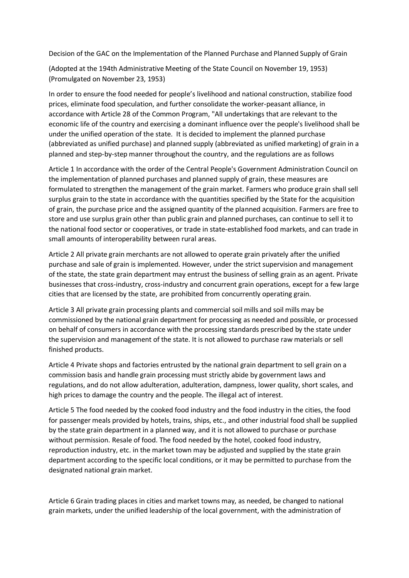Decision of the GAC on the Implementation of the Planned Purchase and Planned Supply of Grain

(Adopted at the 194th Administrative Meeting of the State Council on November 19, 1953) (Promulgated on November 23, 1953)

In order to ensure the food needed for people's livelihood and national construction, stabilize food prices, eliminate food speculation, and further consolidate the worker-peasant alliance, in accordance with Article 28 of the Common Program, "All undertakings that are relevant to the economic life of the country and exercising a dominant influence over the people's livelihood shall be under the unified operation of the state. It is decided to implement the planned purchase (abbreviated as unified purchase) and planned supply (abbreviated as unified marketing) of grain in a planned and step-by-step manner throughout the country, and the regulations are as follows

Article 1 In accordance with the order of the Central People's Government Administration Council on the implementation of planned purchases and planned supply of grain, these measures are formulated to strengthen the management of the grain market. Farmers who produce grain shall sell surplus grain to the state in accordance with the quantities specified by the State for the acquisition of grain, the purchase price and the assigned quantity of the planned acquisition. Farmers are free to store and use surplus grain other than public grain and planned purchases, can continue to sell it to the national food sector or cooperatives, or trade in state-established food markets, and can trade in small amounts of interoperability between rural areas.

Article 2 All private grain merchants are not allowed to operate grain privately after the unified purchase and sale of grain is implemented. However, under the strict supervision and management of the state, the state grain department may entrust the business of selling grain as an agent. Private businesses that cross-industry, cross-industry and concurrent grain operations, except for a few large cities that are licensed by the state, are prohibited from concurrently operating grain.

Article 3 All private grain processing plants and commercial soil mills and soil mills may be commissioned by the national grain department for processing as needed and possible, or processed on behalf of consumers in accordance with the processing standards prescribed by the state under the supervision and management of the state. It is not allowed to purchase raw materials or sell finished products.

Article 4 Private shops and factories entrusted by the national grain department to sell grain on a commission basis and handle grain processing must strictly abide by government laws and regulations, and do not allow adulteration, adulteration, dampness, lower quality, short scales, and high prices to damage the country and the people. The illegal act of interest.

Article 5 The food needed by the cooked food industry and the food industry in the cities, the food for passenger meals provided by hotels, trains, ships, etc., and other industrial food shall be supplied by the state grain department in a planned way, and it is not allowed to purchase or purchase without permission. Resale of food. The food needed by the hotel, cooked food industry, reproduction industry, etc. in the market town may be adjusted and supplied by the state grain department according to the specific local conditions, or it may be permitted to purchase from the designated national grain market.

Article 6 Grain trading places in cities and market towns may, as needed, be changed to national grain markets, under the unified leadership of the local government, with the administration of